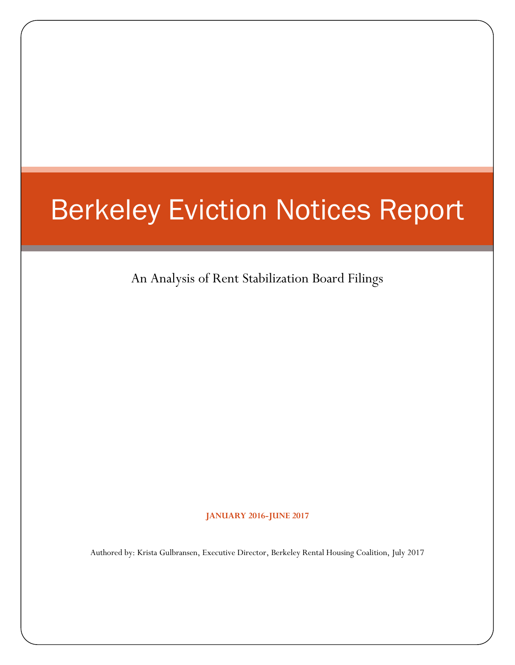# Berkeley Eviction Notices Report

An Analysis of Rent Stabilization Board Filings

**JANUARY 2016-JUNE 2017**

Authored by: Krista Gulbransen, Executive Director, Berkeley Rental Housing Coalition, July 2017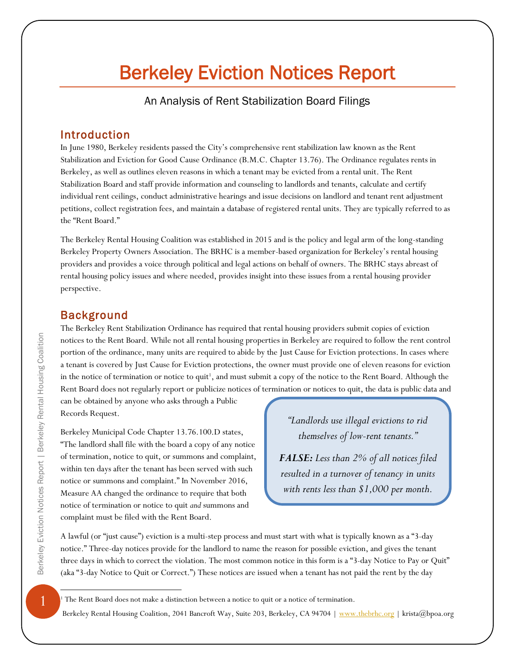# Berkeley Eviction Notices Report

An Analysis of Rent Stabilization Board Filings

## Introduction

In June 1980, Berkeley residents passed the City's comprehensive rent stabilization law known as the Rent Stabilization and Eviction for Good Cause Ordinance (B.M.C. Chapter 13.76). The Ordinance regulates rents in Berkeley, as well as outlines eleven reasons in which a tenant may be evicted from a rental unit. The Rent Stabilization Board and staff provide information and counseling to landlords and tenants, calculate and certify individual rent ceilings, conduct administrative hearings and issue decisions on landlord and tenant rent adjustment petitions, collect registration fees, and maintain a database of registered rental units. They are typically referred to as the "Rent Board."

The Berkeley Rental Housing Coalition was established in 2015 and is the policy and legal arm of the long-standing Berkeley Property Owners Association. The BRHC is a member-based organization for Berkeley's rental housing providers and provides a voice through political and legal actions on behalf of owners. The BRHC stays abreast of rental housing policy issues and where needed, provides insight into these issues from a rental housing provider perspective.

#### Background

The Berkeley Rent Stabilization Ordinance has required that rental housing providers submit copies of eviction notices to the Rent Board. While not all rental housing properties in Berkeley are required to follow the rent control portion of the ordinance, many units are required to abide by the Just Cause for Eviction protections. In cases where a tenant is covered by Just Cause for Eviction protections, the owner must provide one of eleven reasons for eviction in the notice of termination or notice to quit<sup>1</sup>, and must submit a copy of the notice to the Rent Board. Although the Rent Board does not regularly report or publicize notices of termination or notices to quit, the data is public data and

can be obtained by anyone who asks through a Public Records Request.

Berkeley Municipal Code Chapter 13.76.100.D states, "The landlord shall file with the board a copy of any notice of termination, notice to quit, or summons and complaint, within ten days after the tenant has been served with such notice or summons and complaint." In November 2016, Measure AA changed the ordinance to require that both notice of termination or notice to quit *and* summons and complaint must be filed with the Rent Board.

*"Landlords use illegal evictions to rid themselves of low-rent tenants."* 

*FALSE: Less than 2% of all notices filed resulted in a turnover of tenancy in units with rents less than \$1,000 per month.*

A lawful (or "just cause") eviction is a multi-step process and must start with what is typically known as a "3-day notice." Three-day notices provide for the landlord to name the reason for possible eviction, and gives the tenant three days in which to correct the violation. The most common notice in this form is a "3-day Notice to Pay or Quit" (aka "3-day Notice to Quit or Correct.") These notices are issued when a tenant has not paid the rent by the day

<sup>1</sup> The Rent Board does not make a distinction between a notice to quit or a notice of termination.

Berkeley Rental Housing Coalition, 2041 Bancroft Way, Suite 203, Berkeley, CA 94704 | [www.thebrhc.org](http://www.thebrhc.org/) | krista@bpoa.org

 $\overline{a}$ 

 $\mathbf{1}$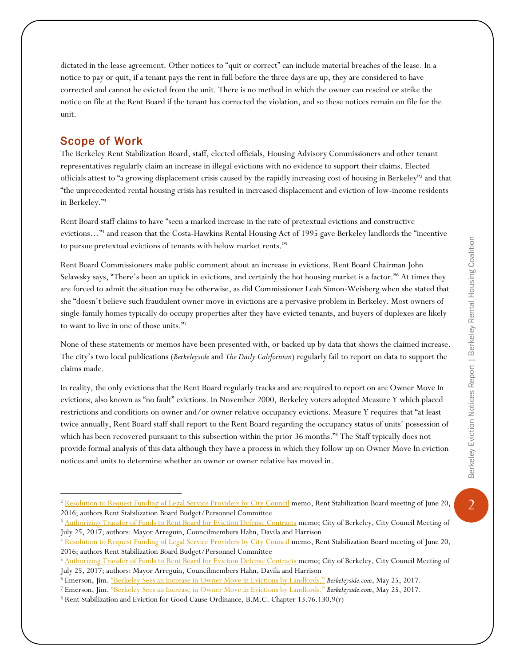$\overline{2}$ 

dictated in the lease agreement. Other notices to "quit or correct" can include material breaches of the lease. In a notice to pay or quit, if a tenant pays the rent in full before the three days are up, they are considered to have corrected and cannot be evicted from the unit. There is no method in which the owner can rescind or strike the notice on file at the Rent Board if the tenant has corrected the violation, and so these notices remain on file for the unit.

#### Scope of Work

 $\overline{a}$ 

The Berkeley Rent Stabilization Board, staff, elected officials, Housing Advisory Commissioners and other tenant representatives regularly claim an increase in illegal evictions with no evidence to support their claims. Elected officials attest to "a growing displacement crisis caused by the rapidly increasing cost of housing in Berkeley"<sup>2</sup> and that "the unprecedented rental housing crisis has resulted in increased displacement and eviction of low-income residents in Berkeley."<sup>3</sup>

Rent Board staff claims to have "seen a marked increase in the rate of pretextual evictions and constructive evictions…"<sup>4</sup> and reason that the Costa-Hawkins Rental Housing Act of 1995 gave Berkeley landlords the "incentive to pursue pretextual evictions of tenants with below market rents."<sup>5</sup>

Rent Board Commissioners make public comment about an increase in evictions. Rent Board Chairman John Selawsky says, "There's been an uptick in evictions, and certainly the hot housing market is a factor."<sup>6</sup> At times they are forced to admit the situation may be otherwise, as did Commissioner Leah Simon-Weisberg when she stated that she "doesn't believe such fraudulent owner move-in evictions are a pervasive problem in Berkeley. Most owners of single-family homes typically do occupy properties after they have evicted tenants, and buyers of duplexes are likely to want to live in one of those units."<sup>7</sup>

None of these statements or memos have been presented with, or backed up by data that shows the claimed increase. The city's two local publications (*Berkeleyside* and *The Daily Californian*) regularly fail to report on data to support the claims made.

In reality, the only evictions that the Rent Board regularly tracks and are required to report on are Owner Move In evictions, also known as "no fault" evictions. In November 2000, Berkeley voters adopted Measure Y which placed restrictions and conditions on owner and/or owner relative occupancy evictions. Measure Y requires that "at least twice annually, Rent Board staff shall report to the Rent Board regarding the occupancy status of units' possession of which has been recovered pursuant to this subsection within the prior 36 months."<sup>8</sup> The Staff typically does not provide formal analysis of this data although they have a process in which they follow up on Owner Move In eviction notices and units to determine whether an owner or owner relative has moved in.

<sup>&</sup>lt;sup>2</sup> [Resolution to Request Funding of Legal Service Providers by City Council](https://www.cityofberkeley.info/uploadedFiles/Rent_Stabilization_Board/Level_3_-_General/4.d.pdf) memo, Rent Stabilization Board meeting of June 20, 2016; authors Rent Stabilization Board Budget/Personnel Committee

<sup>&</sup>lt;sup>3</sup> [Authorizing Transfer of Funds to Rent Board for Eviction Defense Contracts](https://www.cityofberkeley.info/Clerk/City_Council/2017/05_May/Documents/5-16-2017_Item_25_Anti-Displacement_Public_Advocate.aspx) memo; City of Berkeley, City Council Meeting of July 25, 2017; authors: Mayor Arreguin, Councilmembers Hahn, Davila and Harrison

<sup>4</sup> [Resolution to Request Funding of Legal Service Providers by City Council](https://www.cityofberkeley.info/uploadedFiles/Rent_Stabilization_Board/Level_3_-_General/4.d.pdf) memo, Rent Stabilization Board meeting of June 20, 2016; authors Rent Stabilization Board Budget/Personnel Committee

<sup>&</sup>lt;sup>5</sup> [Authorizing Transfer of Funds to Rent Board](https://www.cityofberkeley.info/Clerk/City_Council/2017/05_May/Documents/5-16-2017_Item_25_Anti-Displacement_Public_Advocate.aspx) for Eviction Defense Contracts memo; City of Berkeley, City Council Meeting of July 25, 2017; authors: Mayor Arreguin, Councilmembers Hahn, Davila and Harrison

<sup>6</sup> Emerson, Jim. ["Berkeley Sees an Increase in Owner Move in Evictions by Landlords."](http://www.berkeleyside.com/2017/05/25/berkeley-sees-increase-owner-move-evictions-landlords/) *Berkeleyside.com*, May 25, 2017.

<sup>7</sup> Emerson, Jim. ["Berkeley Sees an Increase in Owner Move in Evictions by Landlords."](http://www.berkeleyside.com/2017/05/25/berkeley-sees-increase-owner-move-evictions-landlords/) *Berkeleyside.com*, May 25, 2017.

<sup>8</sup> Rent Stabilization and Eviction for Good Cause Ordinance, B.M.C. Chapter 13.76.130.9(r)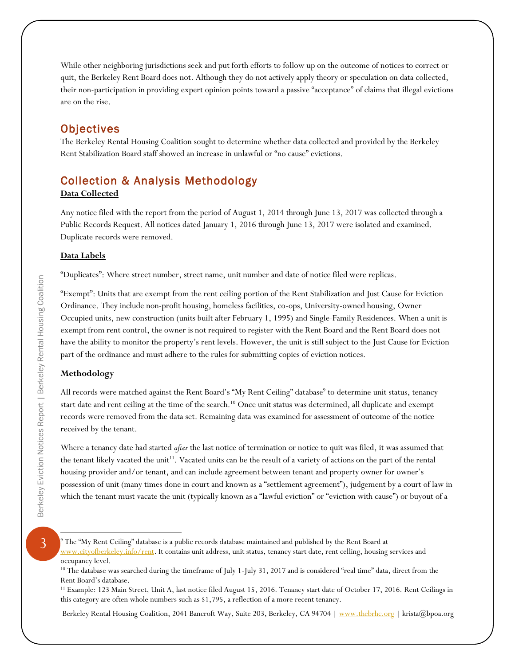While other neighboring jurisdictions seek and put forth efforts to follow up on the outcome of notices to correct or quit, the Berkeley Rent Board does not. Although they do not actively apply theory or speculation on data collected, their non-participation in providing expert opinion points toward a passive "acceptance" of claims that illegal evictions are on the rise.

# **Objectives**

The Berkeley Rental Housing Coalition sought to determine whether data collected and provided by the Berkeley Rent Stabilization Board staff showed an increase in unlawful or "no cause" evictions.

# Collection & Analysis Methodology

#### **Data Collected**

Any notice filed with the report from the period of August 1, 2014 through June 13, 2017 was collected through a Public Records Request. All notices dated January 1, 2016 through June 13, 2017 were isolated and examined. Duplicate records were removed.

#### **Data Labels**

"Duplicates": Where street number, street name, unit number and date of notice filed were replicas.

"Exempt": Units that are exempt from the rent ceiling portion of the Rent Stabilization and Just Cause for Eviction Ordinance. They include non-profit housing, homeless facilities, co-ops, University-owned housing, Owner Occupied units, new construction (units built after February 1, 1995) and Single-Family Residences. When a unit is exempt from rent control, the owner is not required to register with the Rent Board and the Rent Board does not have the ability to monitor the property's rent levels. However, the unit is still subject to the Just Cause for Eviction part of the ordinance and must adhere to the rules for submitting copies of eviction notices.

#### **Methodology**

All records were matched against the Rent Board's "My Rent Ceiling" database<sup>9</sup> to determine unit status, tenancy start date and rent ceiling at the time of the search.<sup>10</sup> Once unit status was determined, all duplicate and exempt records were removed from the data set. Remaining data was examined for assessment of outcome of the notice received by the tenant.

Where a tenancy date had started *after* the last notice of termination or notice to quit was filed, it was assumed that the tenant likely vacated the unit<sup>11</sup>. Vacated units can be the result of a variety of actions on the part of the rental housing provider and/or tenant, and can include agreement between tenant and property owner for owner's possession of unit (many times done in court and known as a "settlement agreement"), judgement by a court of law in which the tenant must vacate the unit (typically known as a "lawful eviction" or "eviction with cause") or buyout of a

Berkeley Eviction Notices Report | Berkeley Rental Housing Coalition

 $\overline{a}$ 

Berkeley Rental Housing Coalition, 2041 Bancroft Way, Suite 203, Berkeley, CA 94704 | [www.thebrhc.org](http://www.thebrhc.org/) | krista@bpoa.org

 $9$  The "My Rent Ceiling" database is a public records database maintained and published by the Rent Board at [www.cityofberkeley.info/rent.](http://www.cityofberkeley.info/rent) It contains unit address, unit status, tenancy start date, rent celling, housing services and occupancy level.

<sup>&</sup>lt;sup>10</sup> The database was searched during the timeframe of July 1-July 31, 2017 and is considered "real time" data, direct from the Rent Board's database.

<sup>11</sup> Example: 123 Main Street, Unit A, last notice filed August 15, 2016. Tenancy start date of October 17, 2016. Rent Ceilings in this category are often whole numbers such as \$1,795, a reflection of a more recent tenancy.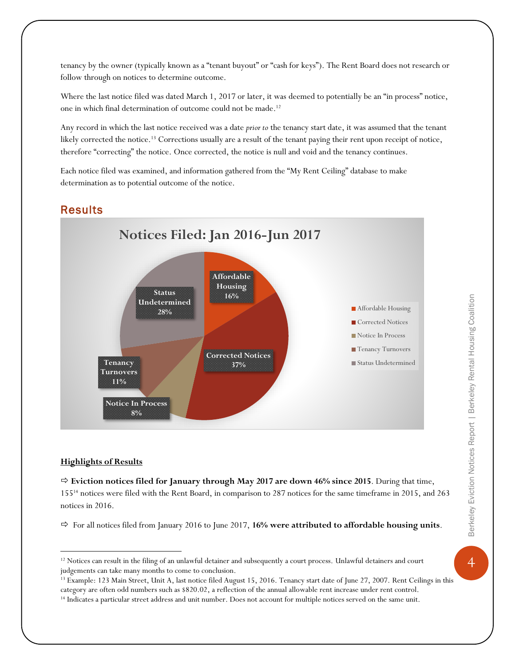tenancy by the owner (typically known as a "tenant buyout" or "cash for keys"). The Rent Board does not research or follow through on notices to determine outcome.

Where the last notice filed was dated March 1, 2017 or later, it was deemed to potentially be an "in process" notice, one in which final determination of outcome could not be made. 12

Any record in which the last notice received was a date *prior to* the tenancy start date, it was assumed that the tenant likely corrected the notice.<sup>13</sup> Corrections usually are a result of the tenant paying their rent upon receipt of notice, therefore "correcting" the notice. Once corrected, the notice is null and void and the tenancy continues.

Each notice filed was examined, and information gathered from the "My Rent Ceiling" database to make determination as to potential outcome of the notice.

## **Results**



#### **Highlights of Results**

 $\overline{a}$ 

 **Eviction notices filed for January through May 2017 are down 46% since 2015**. During that time, 155<sup>14</sup> notices were filed with the Rent Board, in comparison to 287 notices for the same timeframe in 2015, and 263 notices in 2016.

 $\Rightarrow$  For all notices filed from January 2016 to June 2017, 16% were attributed to affordable housing units.

 $\overline{4}$ 

<sup>&</sup>lt;sup>12</sup> Notices can result in the filing of an unlawful detainer and subsequently a court process. Unlawful detainers and court judgements can take many months to come to conclusion.

<sup>&</sup>lt;sup>13</sup> Example: 123 Main Street, Unit A, last notice filed August 15, 2016. Tenancy start date of June 27, 2007. Rent Ceilings in this category are often odd numbers such as \$820.02, a reflection of the annual allowable rent increase under rent control.

<sup>&</sup>lt;sup>14</sup> Indicates a particular street address and unit number. Does not account for multiple notices served on the same unit.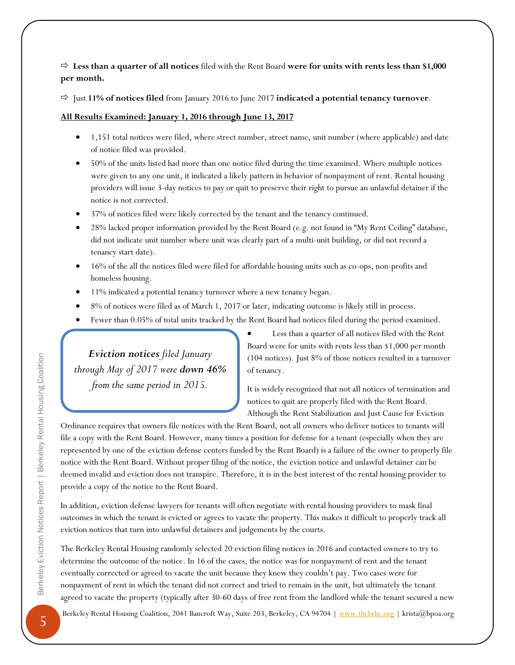**Less than a quarter of all notices** filed with the Rent Board **were for units with rents less than \$1,000 per month.**

Just **11% of notices filed** from January 2016 to June 2017 **indicated a potential tenancy turnover**.

**All Results Examined: January 1, 2016 through June 13, 2017**

- 1,151 total notices were filed, where street number, street name, unit number (where applicable) and date of notice filed was provided.
- 50% of the units listed had more than one notice filed during the time examined. Where multiple notices were given to any one unit, it indicated a likely pattern in behavior of nonpayment of rent. Rental housing providers will issue 3-day notices to pay or quit to preserve their right to pursue an unlawful detainer if the notice is not corrected.
- 37% of notices filed were likely corrected by the tenant and the tenancy continued.
- 28% lacked proper information provided by the Rent Board (e.g. not found in "My Rent Ceiling" database, did not indicate unit number where unit was clearly part of a multi-unit building, or did not record a tenancy start date).
- 16% of the all the notices filed were filed for affordable housing units such as co-ops, non-profits and homeless housing.
- 11% indicated a potential tenancy turnover where a new tenancy began.
- 8% of notices were filed as of March 1, 2017 or later, indicating outcome is likely still in process.
- Fewer than 0.05% of total units tracked by the Rent Board had notices filed during the period examined.

*Eviction notices filed January through May of 2017 were down 46% from the same period in 2015.* 

Less than a quarter of all notices filed with the Rent Board were for units with rents less than \$1,000 per month (104 notices). Just 8% of those notices resulted in a turnover of tenancy.

It is widely recognized that not all notices of termination and notices to quit are properly filed with the Rent Board. Although the Rent Stabilization and Just Cause for Eviction

Ordinance requires that owners file notices with the Rent Board, not all owners who deliver notices to tenants will file a copy with the Rent Board. However, many times a position for defense for a tenant (especially when they are represented by one of the eviction defense centers funded by the Rent Board) is a failure of the owner to properly file notice with the Rent Board. Without proper filing of the notice, the eviction notice and unlawful detainer can be deemed invalid and eviction does not transpire. Therefore, it is in the best interest of the rental housing provider to provide a copy of the notice to the Rent Board.

In addition, eviction defense lawyers for tenants will often negotiate with rental housing providers to mask final outcomes in which the tenant is evicted or agrees to vacate the property. This makes it difficult to properly track all eviction notices that turn into unlawful detainers and judgements by the courts.

The Berkeley Rental Housing randomly selected 20 eviction filing notices in 2016 and contacted owners to try to determine the outcome of the notice. In 16 of the cases, the notice was for nonpayment of rent and the tenant eventually corrected or agreed to vacate the unit because they knew they couldn't pay. Two cases were for nonpayment of rent in which the tenant did not correct and tried to remain in the unit, but ultimately the tenant agreed to vacate the property (typically after 30-60 days of free rent from the landlord while the tenant secured a new

Berkeley Rental Housing Coalition, 2041 Bancroft Way, Suite 203, Berkeley, CA 94704 | [www.thebrhc.org](http://www.thebrhc.org/) | krista@bpoa.org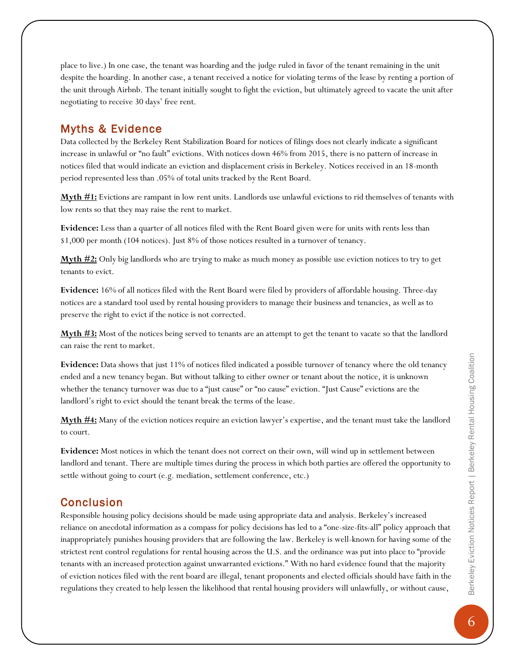place to live.) In one case, the tenant was hoarding and the judge ruled in favor of the tenant remaining in the unit despite the hoarding. In another case, a tenant received a notice for violating terms of the lease by renting a portion of the unit through Airbnb. The tenant initially sought to fight the eviction, but ultimately agreed to vacate the unit after negotiating to receive 30 days' free rent.

# Myths & Evidence

Data collected by the Berkeley Rent Stabilization Board for notices of filings does not clearly indicate a significant increase in unlawful or "no fault" evictions. With notices down 46% from 2015, there is no pattern of increase in notices filed that would indicate an eviction and displacement crisis in Berkeley. Notices received in an 18-month period represented less than .05% of total units tracked by the Rent Board.

**Myth #1:** Evictions are rampant in low rent units. Landlords use unlawful evictions to rid themselves of tenants with low rents so that they may raise the rent to market.

**Evidence:** Less than a quarter of all notices filed with the Rent Board given were for units with rents less than \$1,000 per month (104 notices). Just 8% of those notices resulted in a turnover of tenancy.

**Myth #2:** Only big landlords who are trying to make as much money as possible use eviction notices to try to get tenants to evict.

**Evidence:** 16% of all notices filed with the Rent Board were filed by providers of affordable housing. Three-day notices are a standard tool used by rental housing providers to manage their business and tenancies, as well as to preserve the right to evict if the notice is not corrected.

**Myth #3:** Most of the notices being served to tenants are an attempt to get the tenant to vacate so that the landlord can raise the rent to market.

**Evidence:** Data shows that just 11% of notices filed indicated a possible turnover of tenancy where the old tenancy ended and a new tenancy began. But without talking to either owner or tenant about the notice, it is unknown whether the tenancy turnover was due to a "just cause" or "no cause" eviction. "Just Cause" evictions are the landlord's right to evict should the tenant break the terms of the lease.

**Myth #4:** Many of the eviction notices require an eviction lawyer's expertise, and the tenant must take the landlord to court.

**Evidence:** Most notices in which the tenant does not correct on their own, will wind up in settlement between landlord and tenant. There are multiple times during the process in which both parties are offered the opportunity to settle without going to court (e.g. mediation, settlement conference, etc.)

# **Conclusion**

Responsible housing policy decisions should be made using appropriate data and analysis. Berkeley's increased reliance on anecdotal information as a compass for policy decisions has led to a "one-size-fits-all" policy approach that inappropriately punishes housing providers that are following the law. Berkeley is well-known for having some of the strictest rent control regulations for rental housing across the U.S. and the ordinance was put into place to "provide tenants with an increased protection against unwarranted evictions." With no hard evidence found that the majority of eviction notices filed with the rent board are illegal, tenant proponents and elected officials should have faith in the regulations they created to help lessen the likelihood that rental housing providers will unlawfully, or without cause,